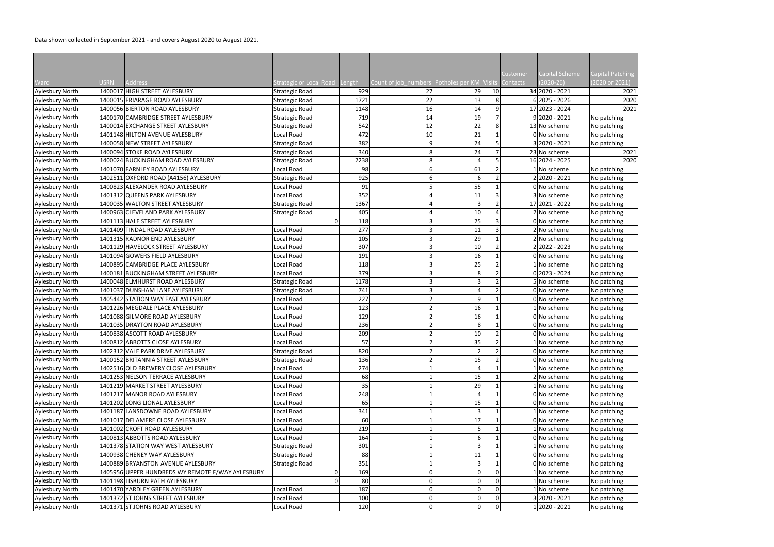Data shown collected in September 2021 - and covers August 2020 to August 2021.

|                        |             |                                                  |                                |      |                                      |                |                | Customer        | Capital Scheme    | Capital Patching |
|------------------------|-------------|--------------------------------------------------|--------------------------------|------|--------------------------------------|----------------|----------------|-----------------|-------------------|------------------|
| Ward                   | <b>JSRN</b> | Address                                          | Strategic or Local Road Length |      | Count of job_numbers Potholes per KM |                |                | Visits Contacts | $(2020-26)$       | (2020 or 2021)   |
| <b>Aylesbury North</b> |             | 1400017 HIGH STREET AYLESBURY                    | <b>Strategic Road</b>          | 929  | 27                                   | 29             | 10             |                 | 34 2020 - 2021    | 2021             |
| Aylesbury North        |             | 1400015 FRIARAGE ROAD AYLESBURY                  | <b>Strategic Road</b>          | 1721 | 22                                   | 13             | 8              |                 | $6$   2025 - 2026 | 2020             |
| Aylesbury North        |             | 1400056 BIERTON ROAD AYLESBURY                   | <b>Strategic Road</b>          | 1148 | 16                                   | 14             |                |                 | 17 2023 - 2024    | 2021             |
| <b>Aylesbury North</b> |             | 1400170 CAMBRIDGE STREET AYLESBURY               | <b>Strategic Road</b>          | 719  | 14                                   | 19             |                |                 | $9$ 2020 - 2021   | No patching      |
| Aylesbury North        |             | 1400014 EXCHANGE STREET AYLESBURY                | <b>Strategic Road</b>          | 542  | 12                                   | 22             |                |                 | 13 No scheme      | No patching      |
| <b>Aylesbury North</b> |             | 1401148 HILTON AVENUE AYLESBURY                  | Local Road                     | 472  | 10                                   | 21             |                |                 | 0 No scheme       | No patching      |
| Aylesbury North        |             | 1400058 NEW STREET AYLESBURY                     | <b>Strategic Road</b>          | 382  | q                                    | 24             |                |                 | 3 2020 - 2021     | No patching      |
| Aylesbury North        |             | 1400094 STOKE ROAD AYLESBURY                     | <b>Strategic Road</b>          | 340  |                                      | 24             |                |                 | 23 No scheme      | 2021             |
| Aylesbury North        |             | 1400024 BUCKINGHAM ROAD AYLESBURY                | Strategic Road                 | 2238 |                                      |                |                |                 | 16 2024 - 2025    | 2020             |
| <b>Aylesbury North</b> |             | 1401070 FARNLEY ROAD AYLESBURY                   | Local Road                     | 98   |                                      | 61             |                |                 | LNo scheme        | No patching      |
| Aylesbury North        |             | 1402511 OXFORD ROAD (A4156) AYLESBURY            | <b>Strategic Road</b>          | 925  |                                      | 6              |                |                 | 2 2020 - 2021     | No patching      |
| Aylesbury North        |             | 1400823 ALEXANDER ROAD AYLESBURY                 | Local Road                     | 91   |                                      | 55             |                |                 | 0 No scheme       | No patching      |
| <b>Aylesbury North</b> |             | 1401312 QUEENS PARK AYLESBURY                    | Local Road                     | 352  |                                      | 11             |                |                 | 3 No scheme       | No patching      |
| Aylesbury North        |             | 1400035 WALTON STREET AYLESBURY                  | Strategic Road                 | 1367 |                                      | $\overline{3}$ |                |                 | 17 2021 - 2022    | No patching      |
| Aylesbury North        |             | 1400963 CLEVELAND PARK AYLESBURY                 | <b>Strategic Road</b>          | 405  |                                      | 10             |                |                 | 2 No scheme       | No patching      |
| Aylesbury North        |             | 1401113 HALE STREET AYLESBURY                    | 0                              | 118  |                                      | 25             |                |                 | 0 No scheme       | No patching      |
| Aylesbury North        |             | 1401409 TINDAL ROAD AYLESBURY                    | Local Road                     | 277  |                                      | 11             |                |                 | 2 No scheme       | No patching      |
| Aylesbury North        |             | 1401315 RADNOR END AYLESBURY                     | Local Road                     | 105  |                                      | 29             |                |                 | 2 No scheme       | No patching      |
| Aylesbury North        |             | 1401129 HAVELOCK STREET AYLESBURY                | Local Road                     | 307  |                                      | $10\,$         |                |                 | 2 2022 - 2023     | No patching      |
| Aylesbury North        |             | 1401094 GOWERS FIELD AYLESBURY                   | Local Road                     | 191  |                                      | 16             |                |                 | 0 No scheme       | No patching      |
| Aylesbury North        |             | 1400895 CAMBRIDGE PLACE AYLESBURY                | Local Road                     | 118  |                                      | 25             |                |                 | 1 No scheme       | No patching      |
| <b>Aylesbury North</b> |             | 1400181 BUCKINGHAM STREET AYLESBURY              | Local Road                     | 379  |                                      | 8              |                |                 | $0$  2023 - 2024  | No patching      |
| Aylesbury North        |             | 1400048 ELMHURST ROAD AYLESBURY                  | <b>Strategic Road</b>          | 1178 |                                      | 3              |                |                 | 5 No scheme       | No patching      |
| Aylesbury North        |             | 1401037 DUNSHAM LANE AYLESBURY                   | <b>Strategic Road</b>          | 741  |                                      |                |                |                 | 0 No scheme       | No patching      |
| Aylesbury North        |             | 1405442 STATION WAY EAST AYLESBURY               | Local Road                     | 227  |                                      | 9              |                |                 | 0 No scheme       | No patching      |
| Aylesbury North        |             | 1401226 MEGDALE PLACE AYLESBURY                  | Local Road                     | 123  |                                      | 16             |                |                 | 1 No scheme       | No patching      |
| Aylesbury North        |             | 1401088 GILMORE ROAD AYLESBURY                   | Local Road                     | 129  |                                      | 16             |                |                 | 0 No scheme       | No patching      |
| Aylesbury North        |             | 1401035 DRAYTON ROAD AYLESBURY                   | Local Road                     | 236  |                                      | 8              |                |                 | 0 No scheme       | No patching      |
| <b>Aylesbury North</b> |             | 1400838 ASCOTT ROAD AYLESBURY                    | Local Road                     | 209  |                                      | 10             |                |                 | 0 No scheme       | No patching      |
| Aylesbury North        |             | 1400812 ABBOTTS CLOSE AYLESBURY                  | Local Road                     | 57   |                                      | 35             | $\mathcal{D}$  |                 | 1 No scheme       | No patching      |
| <b>Aylesbury North</b> |             | 1402312 VALE PARK DRIVE AYLESBURY                | <b>Strategic Road</b>          | 820  |                                      | $\mathcal{P}$  | $\overline{2}$ |                 | 0 No scheme       | No patching      |
| Aylesbury North        |             | 1400152 BRITANNIA STREET AYLESBURY               | <b>Strategic Road</b>          | 136  |                                      | 15             |                |                 | 0 No scheme       | No patching      |
| Aylesbury North        |             | 1402516 OLD BREWERY CLOSE AYLESBURY              | Local Road                     | 274  |                                      |                |                |                 | I No scheme       | No patching      |
| Aylesbury North        |             | 1401253 NELSON TERRACE AYLESBURY                 | Local Road                     | 68   |                                      | 15             |                |                 | 2 No scheme       | No patching      |
| Aylesbury North        |             | 1401219 MARKET STREET AYLESBURY                  | Local Road                     | 35   |                                      | 29             |                |                 | 1 No scheme       | No patching      |
| Aylesbury North        |             | 1401217 MANOR ROAD AYLESBURY                     | Local Road                     | 248  |                                      | Δ              |                |                 | 0 No scheme       | No patching      |
| <b>Aylesbury North</b> |             | 1401202 LONG LIONAL AYLESBURY                    | Local Road                     | 65   |                                      | 15             |                |                 | 0 No scheme       | No patching      |
| Aylesbury North        |             | 1401187 LANSDOWNE ROAD AYLESBURY                 | Local Road                     | 341  |                                      | 3              |                |                 | 1 No scheme       | No patching      |
| <b>Aylesbury North</b> |             | 1401017 DELAMERE CLOSE AYLESBURY                 | Local Road                     | 60   |                                      | 17             |                |                 | 0 No scheme       | No patching      |
| <b>Aylesbury North</b> |             | 1401002 CROFT ROAD AYLESBURY                     | Local Road                     | 219  |                                      |                |                |                 | 1 No scheme       | No patching      |
| Aylesbury North        |             | 1400813 ABBOTTS ROAD AYLESBURY                   | Local Road                     | 164  |                                      | 6              |                |                 | 0 No scheme       | No patching      |
| Aylesbury North        |             | 1401378 STATION WAY WEST AYLESBURY               | <b>Strategic Road</b>          | 301  |                                      | 3              |                |                 | 1 No scheme       | No patching      |
| Aylesbury North        |             | 1400938 CHENEY WAY AYLESBURY                     | <b>Strategic Road</b>          | 88   |                                      | $11\,$         |                |                 | 0 No scheme       | No patching      |
| Aylesbury North        |             | 1400889 BRYANSTON AVENUE AYLESBURY               | <b>Strategic Road</b>          | 351  |                                      | $\overline{3}$ |                |                 | 0 No scheme       | No patching      |
| <b>Aylesbury North</b> |             | 1405956 UPPER HUNDREDS WY REMOTE F/WAY AYLESBURY | 0                              | 169  |                                      | $\mathbf 0$    |                |                 | 1 No scheme       | No patching      |
| <b>Aylesbury North</b> |             | 1401198 LISBURN PATH AYLESBURY                   |                                | 80   |                                      | 0              |                |                 | No scheme         | No patching      |
| Aylesbury North        |             | 1401470 YARDLEY GREEN AYLESBURY                  | Local Road                     | 187  | 0                                    | $\mathbf 0$    | 0              |                 | LNo scheme        | No patching      |
| Aylesbury North        |             | 1401372 ST JOHNS STREET AYLESBURY                | Local Road                     | 100  |                                      | $\mathbf 0$    | $\mathbf 0$    |                 | 3 2020 - 2021     | No patching      |
| <b>Aylesbury North</b> |             | 1401371 ST JOHNS ROAD AYLESBURY                  | Local Road                     | 120  | $\overline{0}$                       | $\Omega$       | $\overline{0}$ |                 | 1 2020 - 2021     |                  |
|                        |             |                                                  |                                |      |                                      |                |                |                 |                   | No patching      |